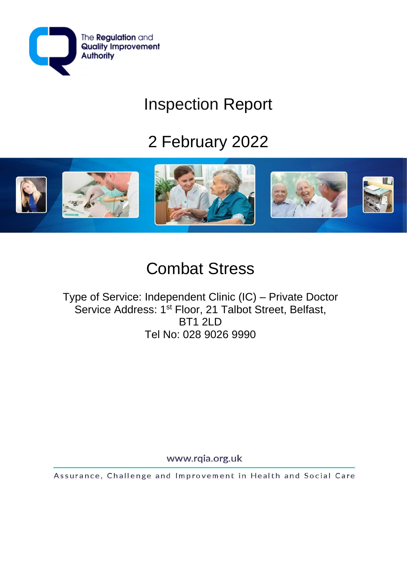

# Inspection Report

# 2 February 2022



## Combat Stress

Type of Service: Independent Clinic (IC) – Private Doctor Service Address: 1<sup>st</sup> Floor, 21 Talbot Street, Belfast, **BT1 2LD** Tel No: 028 9026 9990

www.rqia.org.uk

Assurance, Challenge and Improvement in Health and Social Care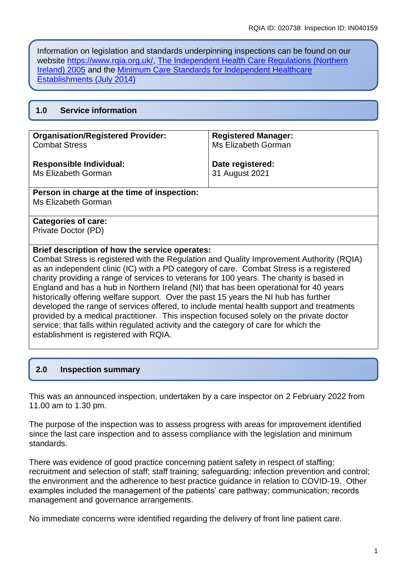Information on legislation and standards underpinning inspections can be found on our website [https://www.rqia.org.uk/,](https://www.rqia.org.uk/) [The Independent Health Care Regulations \(Northern](https://www.legislation.gov.uk/nisr/2005/174/pdfs/nisr_20050174_en.pdf)  [Ireland\) 2005](https://www.legislation.gov.uk/nisr/2005/174/pdfs/nisr_20050174_en.pdf) and the [Minimum Care Standards for Independent Healthcare](https://www.rqia.org.uk/RQIA/media/RQIA/Resources/Standards/Independent_Healthcare_Minimum_Standards.pdf)  [Establishments \(July 2014\)](https://www.rqia.org.uk/RQIA/media/RQIA/Resources/Standards/Independent_Healthcare_Minimum_Standards.pdf)

| 1.0 |  | <b>Service information</b> |  |
|-----|--|----------------------------|--|
|-----|--|----------------------------|--|

| <b>Organisation/Registered Provider:</b> | <b>Registered Manager:</b> |
|------------------------------------------|----------------------------|
| <b>Combat Stress</b>                     | Ms Elizabeth Gorman        |
| <b>Responsible Individual:</b>           | Date registered:           |
| Ms Elizabeth Gorman                      | 31 August 2021             |

#### **Person in charge at the time of inspection:**

Ms Elizabeth Gorman

#### **Categories of care:**

Private Doctor (PD)

#### **Brief description of how the service operates:**

Combat Stress is registered with the Regulation and Quality Improvement Authority (RQIA) as an independent clinic (IC) with a PD category of care. Combat Stress is a registered charity providing a range of services to veterans for 100 years. The charity is based in England and has a hub in Northern Ireland (NI) that has been operational for 40 years historically offering welfare support. Over the past 15 years the NI hub has further developed the range of services offered, to include mental health support and treatments provided by a medical practitioner. This inspection focused solely on the private doctor service; that falls within regulated activity and the category of care for which the establishment is registered with RQIA.

## **2.0 Inspection summary**

This was an announced inspection, undertaken by a care inspector on 2 February 2022 from 11.00 am to 1.30 pm.

The purpose of the inspection was to assess progress with areas for improvement identified since the last care inspection and to assess compliance with the legislation and minimum standards.

There was evidence of good practice concerning patient safety in respect of staffing; recruitment and selection of staff; staff training; safeguarding; infection prevention and control; the environment and the adherence to best practice guidance in relation to COVID-19. Other examples included the management of the patients' care pathway; communication; records management and governance arrangements.

No immediate concerns were identified regarding the delivery of front line patient care.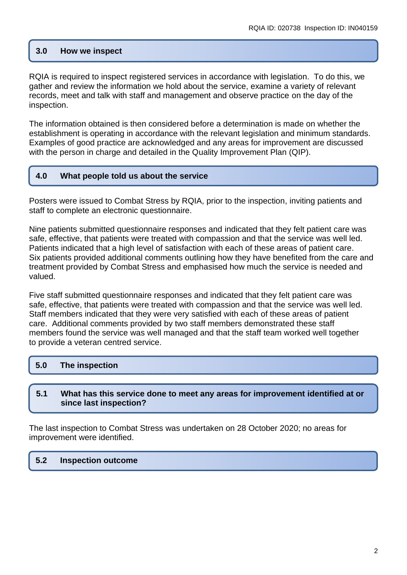## **3.0 How we inspect**

RQIA is required to inspect registered services in accordance with legislation. To do this, we gather and review the information we hold about the service, examine a variety of relevant records, meet and talk with staff and management and observe practice on the day of the inspection.

The information obtained is then considered before a determination is made on whether the establishment is operating in accordance with the relevant legislation and minimum standards. Examples of good practice are acknowledged and any areas for improvement are discussed with the person in charge and detailed in the Quality Improvement Plan (QIP).

## **4.0 What people told us about the service**

Posters were issued to Combat Stress by RQIA, prior to the inspection, inviting patients and staff to complete an electronic questionnaire.

Nine patients submitted questionnaire responses and indicated that they felt patient care was safe, effective, that patients were treated with compassion and that the service was well led. Patients indicated that a high level of satisfaction with each of these areas of patient care. Six patients provided additional comments outlining how they have benefited from the care and treatment provided by Combat Stress and emphasised how much the service is needed and valued.

Five staff submitted questionnaire responses and indicated that they felt patient care was safe, effective, that patients were treated with compassion and that the service was well led. Staff members indicated that they were very satisfied with each of these areas of patient care. Additional comments provided by two staff members demonstrated these staff members found the service was well managed and that the staff team worked well together to provide a veteran centred service.

## **5.0 The inspection**

#### **5.1 What has this service done to meet any areas for improvement identified at or since last inspection?**

The last inspection to Combat Stress was undertaken on 28 October 2020; no areas for improvement were identified.

## **5.2 Inspection outcome**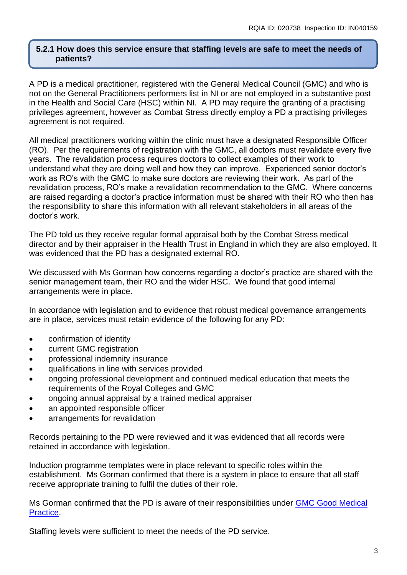#### **5.2.1 How does this service ensure that staffing levels are safe to meet the needs of patients?**

A PD is a medical practitioner, registered with the General Medical Council (GMC) and who is not on the General Practitioners performers list in NI or are not employed in a substantive post in the Health and Social Care (HSC) within NI. A PD may require the granting of a practising privileges agreement, however as Combat Stress directly employ a PD a practising privileges agreement is not required.

All medical practitioners working within the clinic must have a designated Responsible Officer (RO). Per the requirements of registration with the GMC, all doctors must revalidate every five years. The revalidation process requires doctors to collect examples of their work to understand what they are doing well and how they can improve. Experienced senior doctor's work as RO's with the GMC to make sure doctors are reviewing their work. As part of the revalidation process, RO's make a revalidation recommendation to the GMC. Where concerns are raised regarding a doctor's practice information must be shared with their RO who then has the responsibility to share this information with all relevant stakeholders in all areas of the doctor's work.

The PD told us they receive regular formal appraisal both by the Combat Stress medical director and by their appraiser in the Health Trust in England in which they are also employed. It was evidenced that the PD has a designated external RO.

We discussed with Ms Gorman how concerns regarding a doctor's practice are shared with the senior management team, their RO and the wider HSC. We found that good internal arrangements were in place.

In accordance with legislation and to evidence that robust medical governance arrangements are in place, services must retain evidence of the following for any PD:

- confirmation of identity
- current GMC registration
- professional indemnity insurance
- qualifications in line with services provided
- ongoing professional development and continued medical education that meets the requirements of the Royal Colleges and GMC
- ongoing annual appraisal by a trained medical appraiser
- an appointed responsible officer
- arrangements for revalidation

Records pertaining to the PD were reviewed and it was evidenced that all records were retained in accordance with legislation.

Induction programme templates were in place relevant to specific roles within the establishment. Ms Gorman confirmed that there is a system in place to ensure that all staff receive appropriate training to fulfil the duties of their role.

Ms Gorman confirmed that the PD is aware of their responsibilities under [GMC Good Medical](https://www.gmc-uk.org/-/media/documents/good-medical-practice---english-20200128_pdf-51527435.pdf?la=en&hash=DA1263358CCA88F298785FE2BD7610EB4EE9A530)  [Practice.](https://www.gmc-uk.org/-/media/documents/good-medical-practice---english-20200128_pdf-51527435.pdf?la=en&hash=DA1263358CCA88F298785FE2BD7610EB4EE9A530)

Staffing levels were sufficient to meet the needs of the PD service.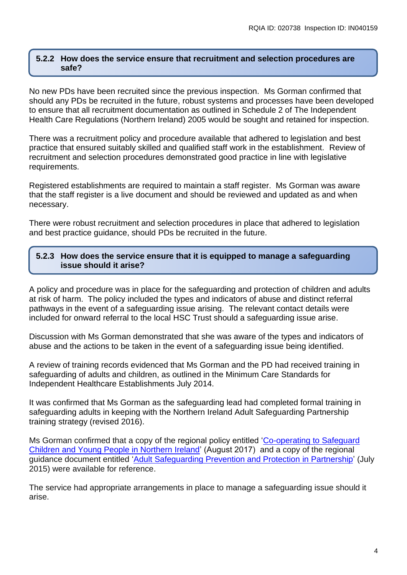#### **5.2.2 How does the service ensure that recruitment and selection procedures are safe?**

No new PDs have been recruited since the previous inspection. Ms Gorman confirmed that should any PDs be recruited in the future, robust systems and processes have been developed to ensure that all recruitment documentation as outlined in Schedule 2 of The Independent Health Care Regulations (Northern Ireland) 2005 would be sought and retained for inspection.

There was a recruitment policy and procedure available that adhered to legislation and best practice that ensured suitably skilled and qualified staff work in the establishment. Review of recruitment and selection procedures demonstrated good practice in line with legislative requirements.

Registered establishments are required to maintain a staff register. Ms Gorman was aware that the staff register is a live document and should be reviewed and updated as and when necessary.

There were robust recruitment and selection procedures in place that adhered to legislation and best practice guidance, should PDs be recruited in the future.

#### **5.2.3 How does the service ensure that it is equipped to manage a safeguarding issue should it arise?**

A policy and procedure was in place for the safeguarding and protection of children and adults at risk of harm. The policy included the types and indicators of abuse and distinct referral pathways in the event of a safeguarding issue arising. The relevant contact details were included for onward referral to the local HSC Trust should a safeguarding issue arise.

Discussion with Ms Gorman demonstrated that she was aware of the types and indicators of abuse and the actions to be taken in the event of a safeguarding issue being identified.

A review of training records evidenced that Ms Gorman and the PD had received training in safeguarding of adults and children, as outlined in the Minimum Care Standards for Independent Healthcare Establishments July 2014.

It was confirmed that Ms Gorman as the safeguarding lead had completed formal training in safeguarding adults in keeping with the Northern Ireland Adult Safeguarding Partnership training strategy (revised 2016).

Ms Gorman confirmed that a copy of the regional policy entitled ['Co-operating to Safeguard](https://www.health-ni.gov.uk/publications/co-operating-safeguard-children-and-young-people-northern-ireland)  [Children and Young People in Northern Ireland'](https://www.health-ni.gov.uk/publications/co-operating-safeguard-children-and-young-people-northern-ireland) (August 2017) and a copy of the regional guidance document entitled ['Adult Safeguarding Prevention and Protection](https://www.health-ni.gov.uk/publications/adult-safeguarding-prevention-and-protection-partnership-key-documents) in Partnership' (July 2015) were available for reference.

The service had appropriate arrangements in place to manage a safeguarding issue should it arise.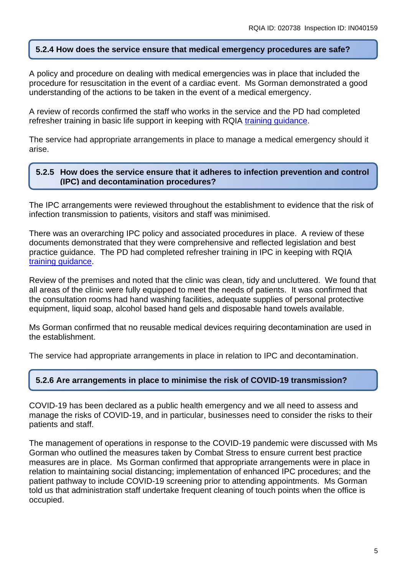## **5.2.4 How does the service ensure that medical emergency procedures are safe?**

A policy and procedure on dealing with medical emergencies was in place that included the procedure for resuscitation in the event of a cardiac event. Ms Gorman demonstrated a good understanding of the actions to be taken in the event of a medical emergency.

A review of records confirmed the staff who works in the service and the PD had completed refresher training in basic life support in keeping with RQIA [training guidance.](https://www.rqia.org.uk/RQIA/files/d8/d86cbceb-28c3-4b6d-a2e3-0e50859a952d.pdf)

The service had appropriate arrangements in place to manage a medical emergency should it arise.

## **5.2.5 How does the service ensure that it adheres to infection prevention and control (IPC) and decontamination procedures?**

The IPC arrangements were reviewed throughout the establishment to evidence that the risk of infection transmission to patients, visitors and staff was minimised.

There was an overarching IPC policy and associated procedures in place. A review of these documents demonstrated that they were comprehensive and reflected legislation and best practice guidance. The PD had completed refresher training in IPC in keeping with RQIA [training guidance.](https://www.rqia.org.uk/RQIA/files/d8/d86cbceb-28c3-4b6d-a2e3-0e50859a952d.pdf)

Review of the premises and noted that the clinic was clean, tidy and uncluttered. We found that all areas of the clinic were fully equipped to meet the needs of patients. It was confirmed that the consultation rooms had hand washing facilities, adequate supplies of personal protective equipment, liquid soap, alcohol based hand gels and disposable hand towels available.

Ms Gorman confirmed that no reusable medical devices requiring decontamination are used in the establishment.

The service had appropriate arrangements in place in relation to IPC and decontamination.

## **5.2.6 Are arrangements in place to minimise the risk of COVID-19 transmission?**

COVID-19 has been declared as a public health emergency and we all need to assess and manage the risks of COVID-19, and in particular, businesses need to consider the risks to their patients and staff.

The management of operations in response to the COVID-19 pandemic were discussed with Ms Gorman who outlined the measures taken by Combat Stress to ensure current best practice measures are in place. Ms Gorman confirmed that appropriate arrangements were in place in relation to maintaining social distancing; implementation of enhanced IPC procedures; and the patient pathway to include COVID-19 screening prior to attending appointments. Ms Gorman told us that administration staff undertake frequent cleaning of touch points when the office is occupied.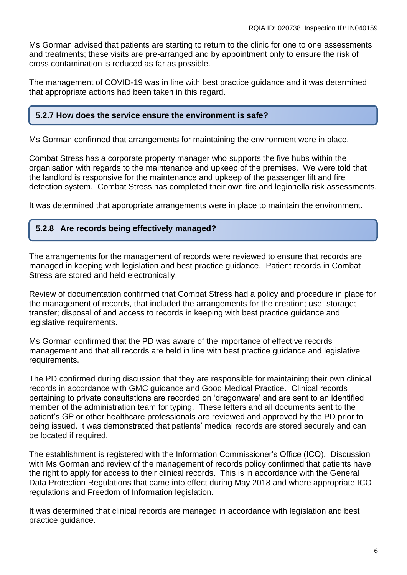Ms Gorman advised that patients are starting to return to the clinic for one to one assessments and treatments; these visits are pre-arranged and by appointment only to ensure the risk of cross contamination is reduced as far as possible.

The management of COVID-19 was in line with best practice guidance and it was determined that appropriate actions had been taken in this regard.

#### **5.2.7 How does the service ensure the environment is safe?**

Ms Gorman confirmed that arrangements for maintaining the environment were in place.

Combat Stress has a corporate property manager who supports the five hubs within the organisation with regards to the maintenance and upkeep of the premises. We were told that the landlord is responsive for the maintenance and upkeep of the passenger lift and fire detection system. Combat Stress has completed their own fire and legionella risk assessments.

It was determined that appropriate arrangements were in place to maintain the environment.

#### **5.2.8 Are records being effectively managed?**

The arrangements for the management of records were reviewed to ensure that records are managed in keeping with legislation and best practice guidance. Patient records in Combat Stress are stored and held electronically.

Review of documentation confirmed that Combat Stress had a policy and procedure in place for the management of records, that included the arrangements for the creation; use; storage; transfer; disposal of and access to records in keeping with best practice guidance and legislative requirements.

Ms Gorman confirmed that the PD was aware of the importance of effective records management and that all records are held in line with best practice guidance and legislative requirements.

The PD confirmed during discussion that they are responsible for maintaining their own clinical records in accordance with GMC guidance and Good Medical Practice. Clinical records pertaining to private consultations are recorded on 'dragonware' and are sent to an identified member of the administration team for typing. These letters and all documents sent to the patient's GP or other healthcare professionals are reviewed and approved by the PD prior to being issued. It was demonstrated that patients' medical records are stored securely and can be located if required.

The establishment is registered with the Information Commissioner's Office (ICO). Discussion with Ms Gorman and review of the management of records policy confirmed that patients have the right to apply for access to their clinical records. This is in accordance with the General Data Protection Regulations that came into effect during May 2018 and where appropriate ICO regulations and Freedom of Information legislation.

It was determined that clinical records are managed in accordance with legislation and best practice guidance.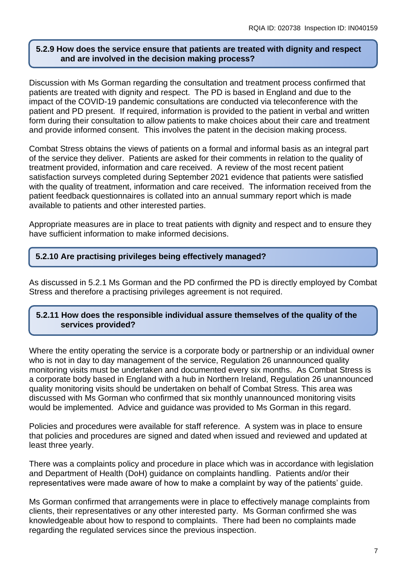### **5.2.9 How does the service ensure that patients are treated with dignity and respect and are involved in the decision making process?**

Discussion with Ms Gorman regarding the consultation and treatment process confirmed that patients are treated with dignity and respect. The PD is based in England and due to the impact of the COVID-19 pandemic consultations are conducted via teleconference with the patient and PD present. If required, information is provided to the patient in verbal and written form during their consultation to allow patients to make choices about their care and treatment and provide informed consent. This involves the patent in the decision making process.

Combat Stress obtains the views of patients on a formal and informal basis as an integral part of the service they deliver. Patients are asked for their comments in relation to the quality of treatment provided, information and care received. A review of the most recent patient satisfaction surveys completed during September 2021 evidence that patients were satisfied with the quality of treatment, information and care received. The information received from the patient feedback questionnaires is collated into an annual summary report which is made available to patients and other interested parties.

Appropriate measures are in place to treat patients with dignity and respect and to ensure they have sufficient information to make informed decisions.

## **5.2.10 Are practising privileges being effectively managed?**

As discussed in 5.2.1 Ms Gorman and the PD confirmed the PD is directly employed by Combat Stress and therefore a practising privileges agreement is not required.

## **5.2.11 How does the responsible individual assure themselves of the quality of the services provided?**

Where the entity operating the service is a corporate body or partnership or an individual owner who is not in day to day management of the service, Regulation 26 unannounced quality monitoring visits must be undertaken and documented every six months. As Combat Stress is a corporate body based in England with a hub in Northern Ireland, Regulation 26 unannounced quality monitoring visits should be undertaken on behalf of Combat Stress. This area was discussed with Ms Gorman who confirmed that six monthly unannounced monitoring visits would be implemented. Advice and guidance was provided to Ms Gorman in this regard.

Policies and procedures were available for staff reference. A system was in place to ensure that policies and procedures are signed and dated when issued and reviewed and updated at least three yearly.

There was a complaints policy and procedure in place which was in accordance with legislation and Department of Health (DoH) guidance on complaints handling. Patients and/or their representatives were made aware of how to make a complaint by way of the patients' guide.

Ms Gorman confirmed that arrangements were in place to effectively manage complaints from clients, their representatives or any other interested party. Ms Gorman confirmed she was knowledgeable about how to respond to complaints. There had been no complaints made regarding the regulated services since the previous inspection.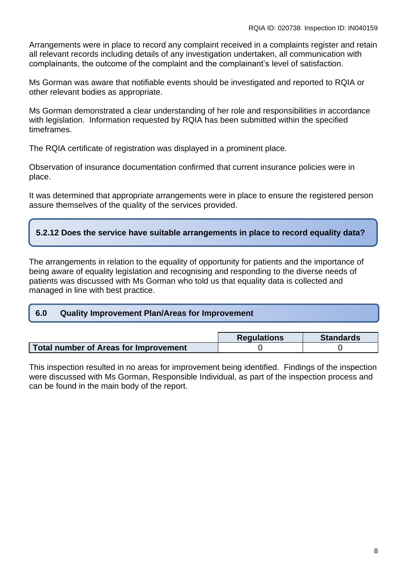Arrangements were in place to record any complaint received in a complaints register and retain all relevant records including details of any investigation undertaken, all communication with complainants, the outcome of the complaint and the complainant's level of satisfaction.

Ms Gorman was aware that notifiable events should be investigated and reported to RQIA or other relevant bodies as appropriate.

Ms Gorman demonstrated a clear understanding of her role and responsibilities in accordance with legislation. Information requested by RQIA has been submitted within the specified timeframes.

The RQIA certificate of registration was displayed in a prominent place.

Observation of insurance documentation confirmed that current insurance policies were in place.

It was determined that appropriate arrangements were in place to ensure the registered person assure themselves of the quality of the services provided.

## **5.2.12 Does the service have suitable arrangements in place to record equality data?**

The arrangements in relation to the equality of opportunity for patients and the importance of being aware of equality legislation and recognising and responding to the diverse needs of patients was discussed with Ms Gorman who told us that equality data is collected and managed in line with best practice.

#### **6.0 Quality Improvement Plan/Areas for Improvement**

|                                              | <b>Regulations</b> | <b>Standards</b> |
|----------------------------------------------|--------------------|------------------|
| <b>Total number of Areas for Improvement</b> |                    |                  |

This inspection resulted in no areas for improvement being identified. Findings of the inspection were discussed with Ms Gorman, Responsible Individual, as part of the inspection process and can be found in the main body of the report.